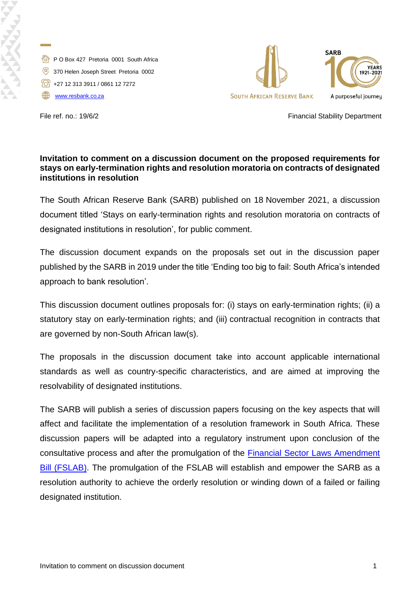

P O Box 427 Pretoria 0001 South Africa 370 Helen Joseph Street Pretoria 0002  $\sqrt{28}$  +27 12 313 3911 / 0861 12 7272 [www.resbank.co.za](http://www.resbank.co.za/)



File ref. no.: 19/6/2 **Financial Stability Department** 

## **Invitation to comment on a discussion document on the proposed requirements for stays on early-termination rights and resolution moratoria on contracts of designated institutions in resolution**

The South African Reserve Bank (SARB) published on 18 November 2021, a discussion document titled 'Stays on early-termination rights and resolution moratoria on contracts of designated institutions in resolution', for public comment.

The discussion document expands on the proposals set out in the discussion paper published by the SARB in 2019 under the title 'Ending too big to fail: South Africa's intended approach to bank resolution'.

This discussion document outlines proposals for: (i) stays on early-termination rights; (ii) a statutory stay on early-termination rights; and (iii) contractual recognition in contracts that are governed by non-South African law(s).

The proposals in the discussion document take into account applicable international standards as well as country-specific characteristics, and are aimed at improving the resolvability of designated institutions.

The SARB will publish a series of discussion papers focusing on the key aspects that will affect and facilitate the implementation of a resolution framework in South Africa. These discussion papers will be adapted into a regulatory instrument upon conclusion of the consultative process and after the promulgation of the [Financial Sector Laws Amendment](https://www.parliament.gov.za/bill/2292271)  [Bill \(FSLAB\).](https://www.parliament.gov.za/bill/2292271) The promulgation of the FSLAB will establish and empower the SARB as a resolution authority to achieve the orderly resolution or winding down of a failed or failing designated institution.